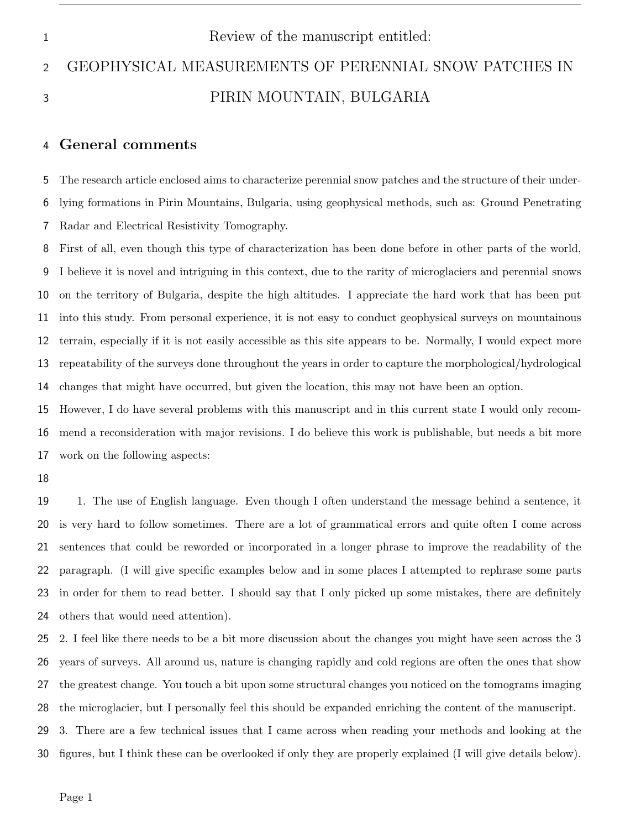# 1 Review of the manuscript entitled: GEOPHYSICAL MEASUREMENTS OF PERENNIAL SNOW PATCHES IN PIRIN MOUNTAIN, BULGARIA

# General comments

 The research article enclosed aims to characterize perennial snow patches and the structure of their under- lying formations in Pirin Mountains, Bulgaria, using geophysical methods, such as: Ground Penetrating Radar and Electrical Resistivity Tomography.

 First of all, even though this type of characterization has been done before in other parts of the world, I believe it is novel and intriguing in this context, due to the rarity of microglaciers and perennial snows on the territory of Bulgaria, despite the high altitudes. I appreciate the hard work that has been put into this study. From personal experience, it is not easy to conduct geophysical surveys on mountainous terrain, especially if it is not easily accessible as this site appears to be. Normally, I would expect more repeatability of the surveys done throughout the years in order to capture the morphological/hydrological changes that might have occurred, but given the location, this may not have been an option.

 However, I do have several problems with this manuscript and in this current state I would only recom- mend a reconsideration with major revisions. I do believe this work is publishable, but needs a bit more work on the following aspects:

 1. The use of English language. Even though I often understand the message behind a sentence, it is very hard to follow sometimes. There are a lot of grammatical errors and quite often I come across sentences that could be reworded or incorporated in a longer phrase to improve the readability of the paragraph. (I will give specific examples below and in some places I attempted to rephrase some parts in order for them to read better. I should say that I only picked up some mistakes, there are definitely others that would need attention).

 2. I feel like there needs to be a bit more discussion about the changes you might have seen across the 3 years of surveys. All around us, nature is changing rapidly and cold regions are often the ones that show the greatest change. You touch a bit upon some structural changes you noticed on the tomograms imaging the microglacier, but I personally feel this should be expanded enriching the content of the manuscript. 3. There are a few technical issues that I came across when reading your methods and looking at the figures, but I think these can be overlooked if only they are properly explained (I will give details below).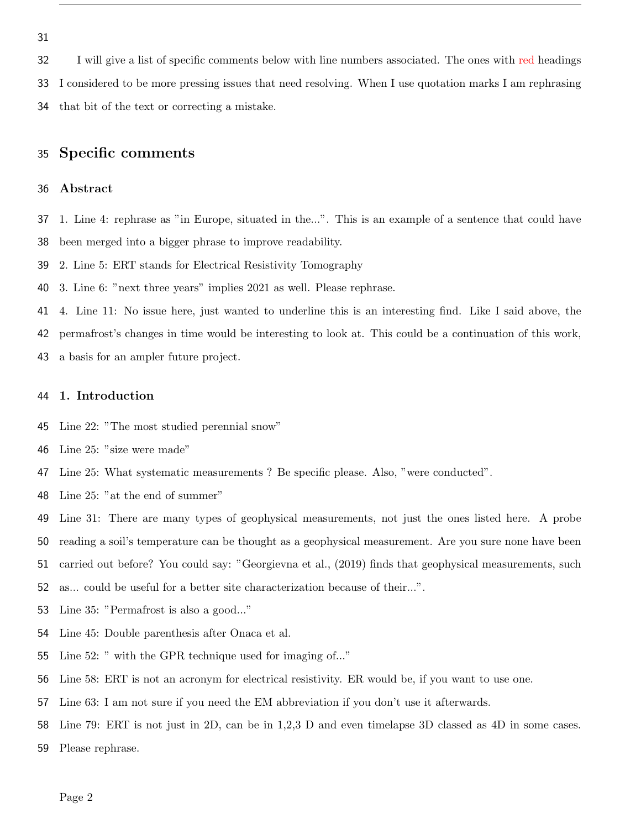I will give a list of specific comments below with line numbers associated. The ones with red headings I considered to be more pressing issues that need resolving. When I use quotation marks I am rephrasing that bit of the text or correcting a mistake.

# Specific comments

## Abstract

- 1. Line 4: rephrase as "in Europe, situated in the...". This is an example of a sentence that could have been merged into a bigger phrase to improve readability.
- 2. Line 5: ERT stands for Electrical Resistivity Tomography
- 3. Line 6: "next three years" implies 2021 as well. Please rephrase.
- 4. Line 11: No issue here, just wanted to underline this is an interesting find. Like I said above, the
- permafrost's changes in time would be interesting to look at. This could be a continuation of this work,
- a basis for an ampler future project.

## 1. Introduction

- Line 22: "The most studied perennial snow"
- Line 25: "size were made"
- Line 25: What systematic measurements ? Be specific please. Also, "were conducted".
- Line 25: "at the end of summer"
- Line 31: There are many types of geophysical measurements, not just the ones listed here. A probe
- reading a soil's temperature can be thought as a geophysical measurement. Are you sure none have been
- carried out before? You could say: "Georgievna et al., (2019) finds that geophysical measurements, such
- as... could be useful for a better site characterization because of their...".
- Line 35: "Permafrost is also a good..."
- Line 45: Double parenthesis after Onaca et al.
- Line 52: " with the GPR technique used for imaging of..."
- Line 58: ERT is not an acronym for electrical resistivity. ER would be, if you want to use one.
- Line 63: I am not sure if you need the EM abbreviation if you don't use it afterwards.
- Line 79: ERT is not just in 2D, can be in 1,2,3 D and even timelapse 3D classed as 4D in some cases.
- Please rephrase.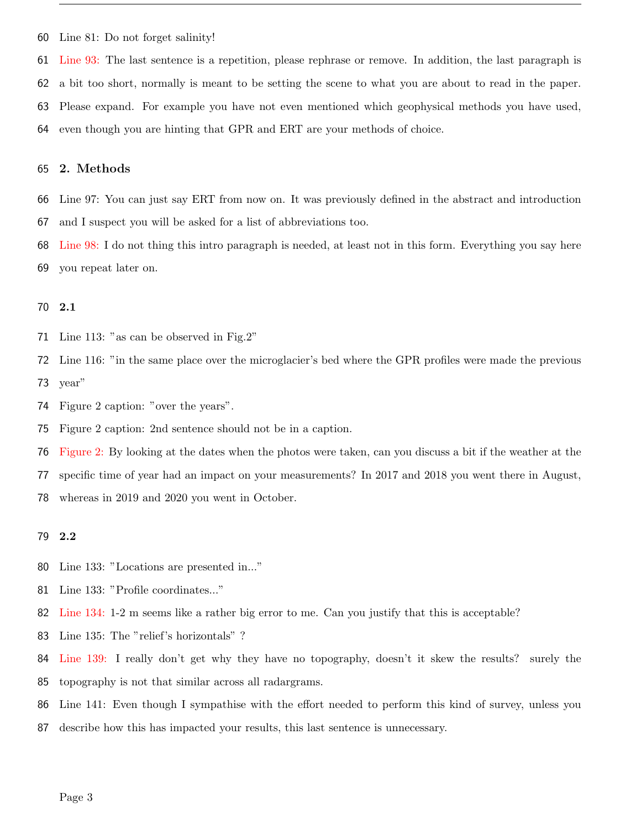Line 81: Do not forget salinity!

 Line 93: The last sentence is a repetition, please rephrase or remove. In addition, the last paragraph is a bit too short, normally is meant to be setting the scene to what you are about to read in the paper. Please expand. For example you have not even mentioned which geophysical methods you have used, even though you are hinting that GPR and ERT are your methods of choice.

### 2. Methods

 Line 97: You can just say ERT from now on. It was previously defined in the abstract and introduction and I suspect you will be asked for a list of abbreviations too.

 Line 98: I do not thing this intro paragraph is needed, at least not in this form. Everything you say here you repeat later on.

#### 2.1

Line 113: "as can be observed in Fig.2"

 Line 116: "in the same place over the microglacier's bed where the GPR profiles were made the previous year"

Figure 2 caption: "over the years".

Figure 2 caption: 2nd sentence should not be in a caption.

Figure 2: By looking at the dates when the photos were taken, can you discuss a bit if the weather at the

specific time of year had an impact on your measurements? In 2017 and 2018 you went there in August,

whereas in 2019 and 2020 you went in October.

# 2.2

- Line 133: "Locations are presented in..."
- Line 133: "Profile coordinates..."
- Line 134: 1-2 m seems like a rather big error to me. Can you justify that this is acceptable?
- Line 135: The "relief's horizontals" ?
- Line 139: I really don't get why they have no topography, doesn't it skew the results? surely the topography is not that similar across all radargrams.
- Line 141: Even though I sympathise with the effort needed to perform this kind of survey, unless you
- describe how this has impacted your results, this last sentence is unnecessary.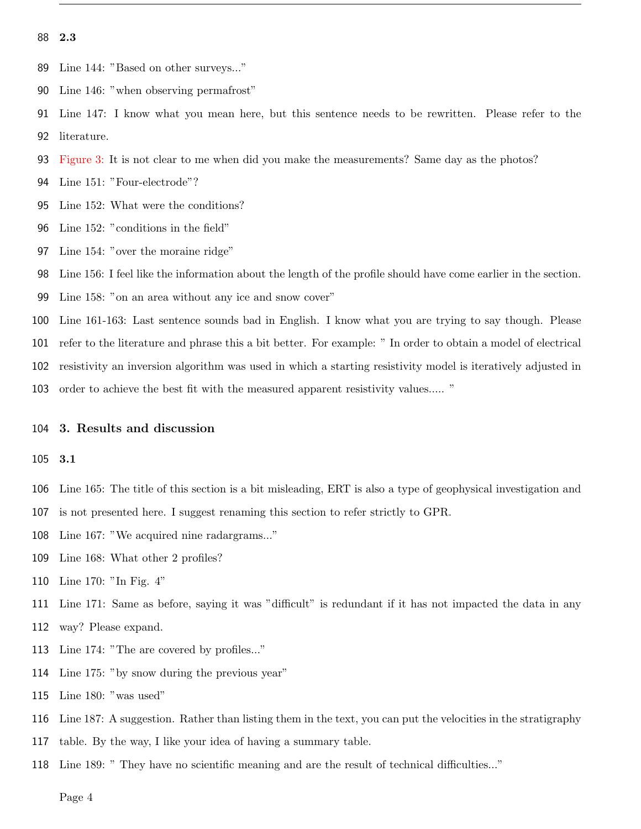2.3

- Line 144: "Based on other surveys..."
- Line 146: "when observing permafrost"
- Line 147: I know what you mean here, but this sentence needs to be rewritten. Please refer to the

literature.

- Figure 3: It is not clear to me when did you make the measurements? Same day as the photos?
- Line 151: "Four-electrode"?
- Line 152: What were the conditions?
- Line 152: "conditions in the field"
- Line 154: "over the moraine ridge"

Line 156: I feel like the information about the length of the profile should have come earlier in the section.

- Line 158: "on an area without any ice and snow cover"
- Line 161-163: Last sentence sounds bad in English. I know what you are trying to say though. Please
- refer to the literature and phrase this a bit better. For example: " In order to obtain a model of electrical
- resistivity an inversion algorithm was used in which a starting resistivity model is iteratively adjusted in
- order to achieve the best fit with the measured apparent resistivity values..... "

#### 3. Results and discussion

3.1

- Line 165: The title of this section is a bit misleading, ERT is also a type of geophysical investigation and
- is not presented here. I suggest renaming this section to refer strictly to GPR.
- Line 167: "We acquired nine radargrams..."
- Line 168: What other 2 profiles?
- Line 170: "In Fig. 4"
- Line 171: Same as before, saying it was "difficult" is redundant if it has not impacted the data in any
- way? Please expand.
- Line 174: "The are covered by profiles..."
- Line 175: "by snow during the previous year"
- Line 180: "was used"
- Line 187: A suggestion. Rather than listing them in the text, you can put the velocities in the stratigraphy
- table. By the way, I like your idea of having a summary table.
- Line 189: " They have no scientific meaning and are the result of technical difficulties..."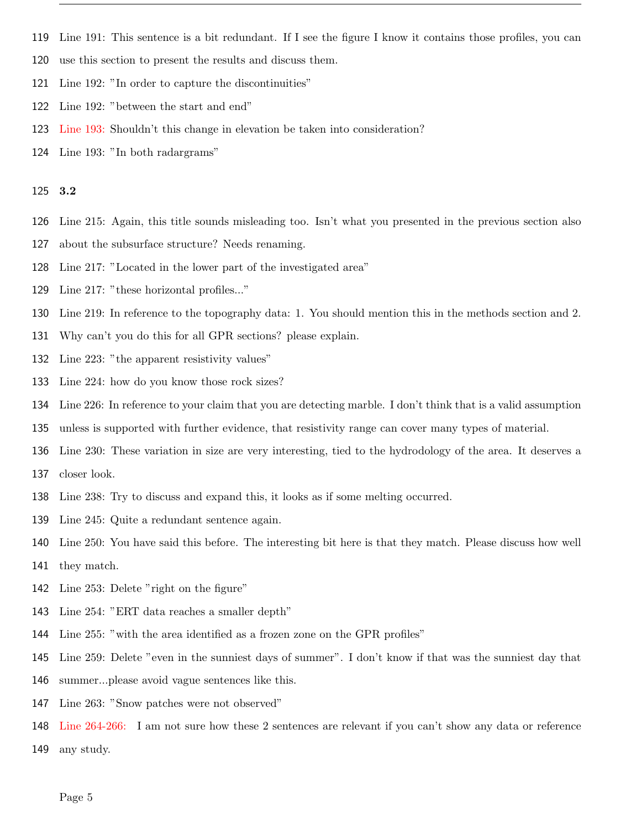- Line 191: This sentence is a bit redundant. If I see the figure I know it contains those profiles, you can
- use this section to present the results and discuss them.
- Line 192: "In order to capture the discontinuities"
- Line 192: "between the start and end"
- Line 193: Shouldn't this change in elevation be taken into consideration?
- Line 193: "In both radargrams"

## 3.2

- Line 215: Again, this title sounds misleading too. Isn't what you presented in the previous section also
- about the subsurface structure? Needs renaming.
- Line 217: "Located in the lower part of the investigated area"
- Line 217: "these horizontal profiles..."
- Line 219: In reference to the topography data: 1. You should mention this in the methods section and 2.
- Why can't you do this for all GPR sections? please explain.
- Line 223: "the apparent resistivity values"
- Line 224: how do you know those rock sizes?
- Line 226: In reference to your claim that you are detecting marble. I don't think that is a valid assumption
- unless is supported with further evidence, that resistivity range can cover many types of material.
- Line 230: These variation in size are very interesting, tied to the hydrodology of the area. It deserves a
- closer look.
- Line 238: Try to discuss and expand this, it looks as if some melting occurred.
- Line 245: Quite a redundant sentence again.
- Line 250: You have said this before. The interesting bit here is that they match. Please discuss how well
- they match.
- Line 253: Delete "right on the figure"
- Line 254: "ERT data reaches a smaller depth"
- Line 255: "with the area identified as a frozen zone on the GPR profiles"
- Line 259: Delete "even in the sunniest days of summer". I don't know if that was the sunniest day that
- summer...please avoid vague sentences like this.
- Line 263: "Snow patches were not observed"
- Line 264-266: I am not sure how these 2 sentences are relevant if you can't show any data or reference any study.